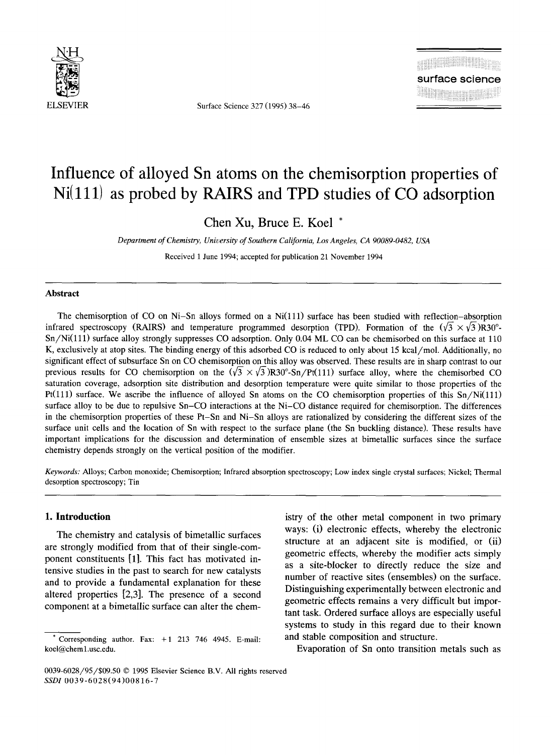

ELSEVIER Surface Science 327 (1995) 38-46

# **Influence of alloyed Sn atoms on the chemisorption properties of Ni(111) as probed by RAIRS and TPD studies of CO adsorption**

**Chen Xu, Bruce E. Koel \*** 

*Department of Chemistry, University of Southern California, Los Angeles, CA 90089-0482, USA* 

Received 1 June 1994; accepted for publication 21 November 1994

#### **Abstract**

The chemisorption of CO on Ni-Sn alloys formed on a Ni $(111)$  surface has been studied with reflection-absorption infrared spectroscopy (RAIRS) and temperature programmed desorption (TPD). Formation of the  $(\sqrt{3} \times \sqrt{3})$ R30<sup>o</sup>-Sn/Ni(lll) surface alloy strongly suppresses CO adsorption. Only 0.04 ML CO can be chemisorbed on this surface at 110 K, exclusively at atop sites. The binding energy of this adsorbed CO is reduced to only about 15 kcal/mol. Additionally, no significant effect of subsurface Sn on CO chemisorption on this alloy was observed. These results are in sharp contrast to our previous results for CO chemisorption on the  $(\sqrt{3} \times \sqrt{3})R30^\circ$ -Sn/Pt(111) surface alloy, where the chemisorbed CO saturation coverage, adsorption site distribution and desorption temperature were quite similar to those properties of the Pt(111) surface. We ascribe the influence of alloyed Sn atoms on the CO chemisorption properties of this  $Sn/Ni(11)$ surface alloy to be due to repulsive Sn-CO interactions at the Ni-CO distance required for chemisorption. The differences in the chemisorption properties of these Pt-Sn and Ni-Sn alloys are rationalized by considering the different sizes of the surface unit cells and the location of Sn with respect to the surface plane (the Sn buckling distance). These results have important implications for the discussion and determination of ensemble sizes at bimetallic surfaces since the surface chemistry depends strongly on the vertical position of the modifier.

*Keywords:* Alloys; Carbon monoxide; Chemisorption; Infrared absorption spectroscopy; Low index single crystal surfaces; Nickel; Thermal desorption spectroscopy; Tin

## **1. Introduction**

The chemistry and catalysis of bimetallic surfaces are strongly modified from that of their single-component constituents [1]. This fact has motivated intensive studies in the past to search for new catalysts and to provide a fundamental explanation for these altered properties [2,3]. The presence of a second component at a bimetallic surface can alter the chemistry of the other metal component in two primary ways: (i) electronic effects, whereby the electronic structure at an adjacent site is modified, or (ii) geometric effects, whereby the modifier acts simply as a site-blocker to directly reduce the size and number of reactive sites (ensembles) on the surface. Distinguishing experimentally between electronic and geometric effects remains a very difficult but important task. Ordered surface alloys are especially useful systems to study in this regard due to their known and stable composition and structure.

Evaporation of Sn onto transition metals such as

Corresponding author. Fax:  $+1$  213 746 4945. E-mail: koel@cheml.usc.edu.

<sup>0039-6028/95/\$09.50 © 1995</sup> Elsevier Science B.V. All rights reserved *SSDI* 0039-6028(94)00816-7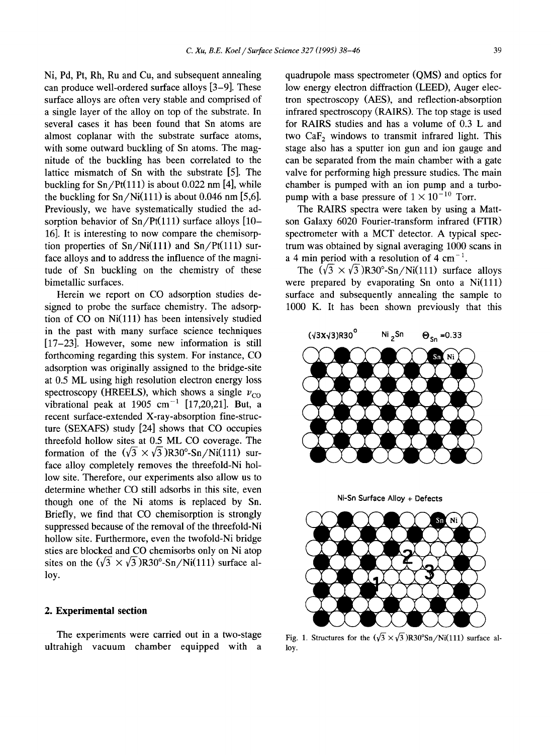Ni, Pd, Pt, Rh, Ru and Cu, and subsequent annealing can produce well-ordered surface alloys [3-9]. These surface alloys are often very stable and comprised of a single layer of the alloy on top of the substrate. In several cases it has been found that Sn atoms are almost coplanar with the substrate surface atoms, with some outward buckling of Sn atoms. The magnitude of the buckling has been correlated to the lattice mismatch of Sn with the substrate [5]. The buckling for  $\text{Sn}/\text{Pt}(111)$  is about 0.022 nm [4], while the buckling for  $Sn/Ni(111)$  is about 0.046 nm [5,6]. Previously, we have systematically studied the adsorption behavior of  $Sn/Pt(111)$  surface alloys  $[10-$ 16]. It is interesting to now compare the chemisorption properties of  $Sn/Ni(111)$  and  $Sn/Pt(111)$  surface alloys and to address the influence of the magnitude of Sn buckling on the chemistry of these bimetallic surfaces.

Herein we report on CO adsorption studies designed to probe the surface chemistry. The adsorption of  $CO$  on  $Ni(111)$  has been intensively studied in the past with many surface science techniques [17-23]. However, some new information is still forthcoming regarding this system. For instance, CO adsorption was originally assigned to the bridge-site at 0.5 ML using high resolution electron energy loss spectroscopy (HREELS), which shows a single  $v_{\text{co}}$ vibrational peak at 1905 cm<sup>-1</sup> [17,20,21]. But, a recent surface-extended X-ray-absorption fine-structure (SEXAFS) study [24] shows that CO occupies threefold hollow sites at 0.5 ML CO coverage. The formation of the  $(\sqrt{3} \times \sqrt{3})R30^{\circ}$ -Sn/Ni(111) surface alloy completely removes the threefold-Ni hollow site. Therefore, our experiments also allow us to determine whether CO still adsorbs in this site, even though one of the Ni atoms is replaced by Sn. Briefly, we find that CO chemisorption is strongly suppressed because of the removal of the threefold-Ni hollow site. Furthermore, even the twofold-Ni bridge sties are blocked and CO chemisorbs only on Ni atop sites on the  $(\sqrt{3} \times \sqrt{3})R30^{\circ}$ -Sn/Ni(111) surface alloy.

#### **2. Experimental section**

The experiments were carried out in a two-stage ultrahigh vacuum chamber equipped with a quadrupole mass spectrometer (QMS) and optics for low energy electron diffraction (LEED), Auger electron spectroscopy (AES), and reflection-absorption infrared spectroscopy (RAIRS). The top stage is used for RAIRS studies and has a volume of 0.3 L and two CaF<sub>2</sub> windows to transmit infrared light. This stage also has a sputter ion gun and ion gauge and can be separated from the main chamber with a gate valve for performing high pressure studies. The main chamber is pumped with an ion pump and a turbopump with a base pressure of  $1 \times 10^{-10}$  Torr.

The RAIRS spectra were taken by using a Mattson Galaxy 6020 Fourier-transform infrared (FTIR) spectrometer with a MCT detector. A typical spectrum was obtained by signal averaging 1000 scans in a 4 min period with a resolution of 4 cm<sup>-1</sup>.

The  $(\sqrt{3} \times \sqrt{3})R30^{\circ}$ -Sn/Ni(111) surface alloys were prepared by evaporating Sn onto a  $Ni(111)$ surface and subsequently annealing the sample to 1000 K. It has been shown previously that this



Ni-Sn Surface Alloy + Defects



Fig. 1. Structures for the  $(\sqrt{3} \times \sqrt{3})R30^{\circ}Sn/Ni(111)$  surface alloy.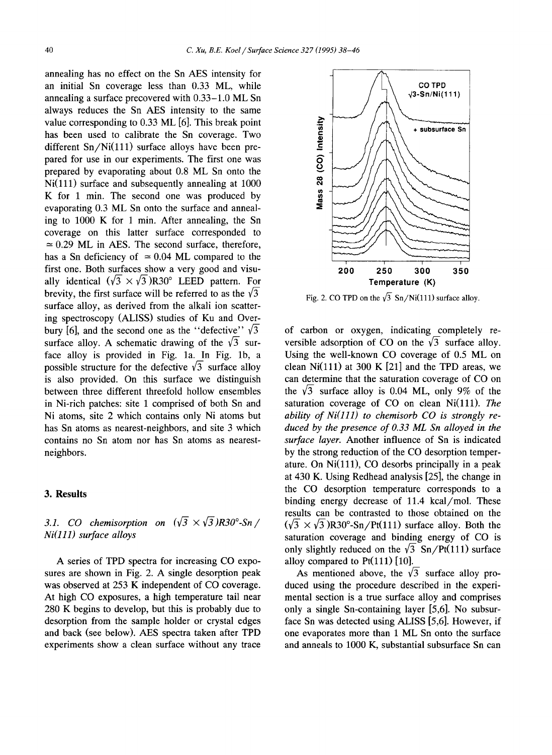annealing has no effect on the Sn AES intensity for an initial Sn coverage less than 0.33 ML, while annealing a surface precovered with 0.33-1.0 ML Sn always reduces the Sn AES intensity to the same value corresponding to 0.33 ML [6]. This break point has been used to calibrate the Sn coverage. Two different  $Sn/Ni(111)$  surface alloys have been prepared for use in our experiments. The first one was prepared by evaporating about 0.8 ML Sn onto the  $Ni(111)$  surface and subsequently annealing at  $1000$ K for 1 min. The second one was produced by evaporating 0.3 ML Sn onto the surface and annealing to 1000 K for 1 min. After annealing, the Sn coverage on this latter surface corresponded to  $\approx 0.29$  ML in AES. The second surface, therefore, has a Sn deficiency of  $\approx 0.04$  ML compared to the first one. Both surfaces show a very good and visually identical  $(\sqrt{3} \times \sqrt{3})R30^\circ$  LEED pattern. For brevity, the first surface will be referred to as the  $\sqrt{3}$ surface alloy, as derived from the alkali ion scattering spectroscopy (ALISS) studies of Ku and Overbury [6], and the second one as the "defective"  $\sqrt{3}$ surface alloy. A schematic drawing of the  $\sqrt{3}$  surface alloy is provided in Fig. la. In Fig. lb, a possible structure for the defective  $\sqrt{3}$  surface alloy is also provided. On this surface we distinguish between three different threefold hollow ensembles in Ni-rich patches: site 1 comprised of both Sn and Ni atoms, site 2 which contains only Ni atoms but has Sn atoms as nearest-neighbors, and site 3 which contains no Sn atom nor has Sn atoms as nearestneighbors.

# **3. Results**

# 3.1. CO chemisorption on  $(\sqrt{3} \times \sqrt{3})R30^{\circ}$ -Sn/ *Ni(lll) surface alloys*

A series of TPD spectra for increasing CO exposures are shown in Fig. 2. A single desorption peak was observed at 253 K independent of CO coverage. At high CO exposures, a high temperature tail near 280 K begins to develop, but this is probably due to desorption from the sample holder or crystal edges and back (see below). AES spectra taken after TPD experiments show a clean surface without any trace



Fig. 2. CO TPD on the  $\sqrt{3}$  Sn/Ni(111) surface alloy.

of carbon or oxygen, indicating completely reversible adsorption of CO on the  $\sqrt{3}$  surface alloy. Using the well-known CO coverage of 0.5 ML on clean  $Ni(111)$  at 300 K [21] and the TPD areas, we can determine that the saturation coverage of CO on the  $\sqrt{3}$  surface alloy is 0.04 ML, only 9% of the saturation coverage of CO on clean Ni(111). *The ability of Ni(lll) to chemisorb CO is strongly reduced by the presence of 0.33 ML Sn alloyed in the surface layer.* Another influence of Sn is indicated by the strong reduction of the CO desorption temperature. On  $Ni(111)$ , CO desorbs principally in a peak at 430 K. Using Redhead analysis [25], the change in the CO desorption temperature corresponds to a binding energy decrease of 11.4 kcal/mol. These results can be contrasted to those obtained on the  $(\sqrt{3} \times \sqrt{3})R30^{\circ}$ -Sn/Pt(111) surface alloy. Both the saturation coverage and binding energy of CO is only slightly reduced on the  $\sqrt{3}$  Sn/Pt(111) surface alloy compared to  $Pt(111)$  [10].

As mentioned above, the  $\sqrt{3}$  surface alloy produced using the procedure described in the experimental section is a true surface alloy and comprises only a single Sn-containing layer [5,6]. No subsurface Sn was detected using ALISS [5,6]. However, if one evaporates more than 1 ML Sn onto the surface and anneals to 1000 K, substantial subsurface Sn can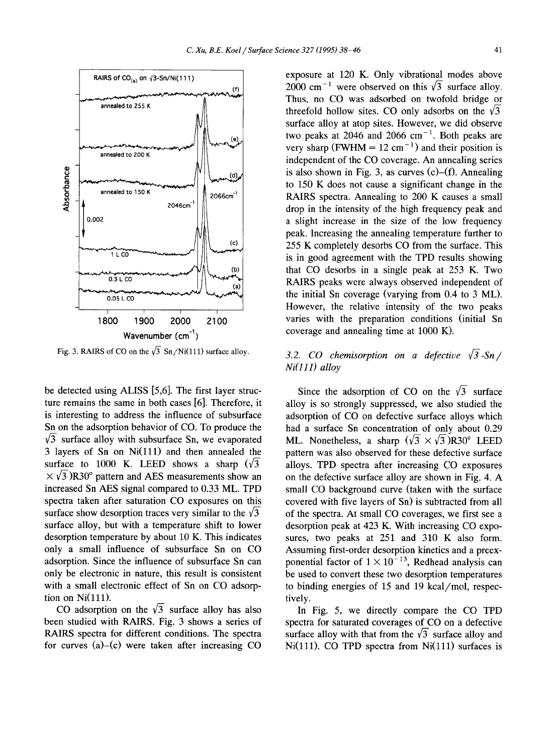

Fig. 3. RAIRS of CO on the  $\sqrt{3}$  Sn/Ni(111) surface alloy.

be detected using ALISS [5,6]. The first layer structure remains the same in both cases [6]. Therefore, it is interesting to address the influence of subsurface Sn on the adsorption behavior of CO. To produce the  $\sqrt{3}$  surface alloy with subsurface Sn, we evaporated  $3$  layers of Sn on Ni $(111)$  and then annealed the surface to 1000 K. LEED shows a sharp  $(\sqrt{3})$  $\times \sqrt{3}$ )R30° pattern and AES measurements show an increased Sn AES signal compared to 0.33 ML. TPD spectra taken after saturation CO exposures on this surface show desorption traces very similar to the  $\sqrt{3}$ surface alloy, but with a temperature shift to lower desorption temperature by about 10 K. This indicates only a small influence of subsurface Sn on CO adsorption. Since the influence of subsurface Sn can only be electronic in nature, this result is consistent with a small electronic effect of Sn on CO adsorption on  $Ni(111)$ .

CO adsorption on the  $\sqrt{3}$  surface alloy has also been studied with RAIRS. Fig. 3 shows a series of RAIRS spectra for different conditions. The spectra for curves  $(a)$ - $(c)$  were taken after increasing CO

exposure at 120 K. Only vibrational modes above 2000 cm<sup>-1</sup> were observed on this  $\sqrt{3}$  surface alloy. Thus, no CO was adsorbed on twofold bridge or threefold hollow sites. CO only adsorbs on the  $\sqrt{3}$ surface alloy at atop sites. However, we did observe two peaks at 2046 and 2066  $cm^{-1}$ . Both peaks are very sharp (FWHM =  $12 \text{ cm}^{-1}$ ) and their position is independent of the CO coverage. An annealing series is also shown in Fig. 3, as curves  $(c)$ – $(f)$ . Annealing to 150 K does not cause a significant change in the RAIRS spectra. Annealing to 200 K causes a small drop in the intensity of the high frequency peak and a slight increase in the size of the low frequency peak. Increasing the annealing temperature further to 255 K completely desorbs CO from the surface. This is in good agreement with the TPD results showing that CO desorbs in a single peak at 253 K. Two RAIRS peaks were always observed independent of the initial Sn coverage (varying from 0.4 to 3 ML). However, the relative intensity of the two peaks varies with the preparation conditions (initial Sn coverage and annealing time at 1000 K).

# 3.2. CO chemisorption on a defective  $\sqrt{3}$ -Sn/ *Ni(lll) alloy*

Since the adsorption of CO on the  $\sqrt{3}$  surface alloy is so strongly suppressed, we also studied the adsorption of CO on defective surface alloys which had a surface Sn concentration of only about 0.29 ML. Nonetheless, a sharp  $(\sqrt{3} \times \sqrt{3})R30^\circ$  LEED pattern was also observed for these defective surface alloys. TPD spectra after increasing CO exposures on the defective surface alloy are shown in Fig. 4. A small CO background curve (taken with the surface covered with five layers of Sn) is subtracted from all of the spectra. At small CO coverages, we first see a desorption peak at 423 K. With increasing CO exposures, two peaks at 251 and 310 K also form. Assuming first-order desorption kinetics and a preexponential factor of  $1 \times 10^{-13}$ , Redhead analysis can be used to convert these two desorption temperatures to binding energies of 15 and 19 kcal/mol, respectively.

In Fig. 5, we directly compare the CO TPD spectra for saturated coverages of CO on a defective surface alloy with that from the  $\sqrt{3}$  surface alloy and  $Ni(111)$ . CO TPD spectra from  $Ni(111)$  surfaces is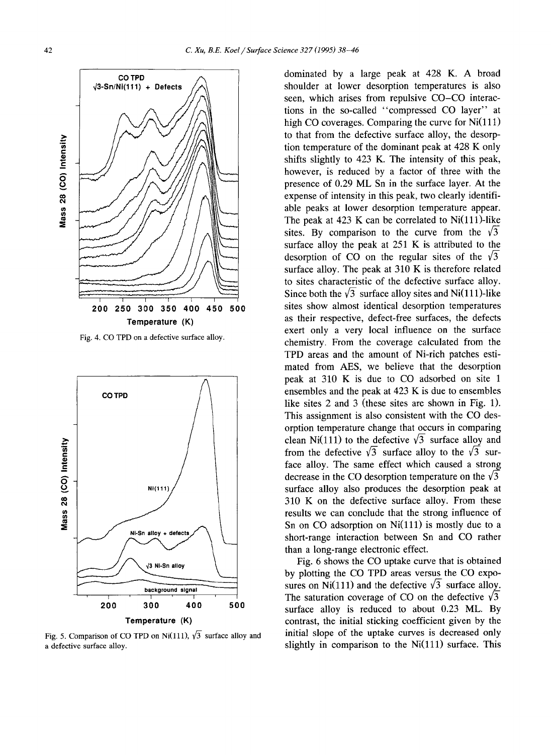

Fig. 4. CO TPD on a defective surface alloy.



Fig. 5. Comparison of CO TPD on Ni(111),  $\sqrt{3}$  surface alloy and a defective surface alloy.

dominated by a large peak at 428 K. A broad shoulder at lower desorption temperatures is also seen, which arises from repulsive CO-CO interactions in the so-called "compressed CO layer" at high CO coverages. Comparing the curve for Ni(111) to that from the defective surface alloy, the desorption temperature of the dominant peak at 428 K only shifts slightly to 423 K. The intensity of this peak, however, is reduced by a factor of three with the presence of 0.29 ML Sn in the surface layer. At the expense of intensity in this peak, two clearly identifiable peaks at lower desorption temperature appear. The peak at 423 K can be correlated to Ni(111)-like sites. By comparison to the curve from the  $\sqrt{3}$ surface alloy the peak at 251 K is attributed to the desorption of CO on the regular sites of the  $\sqrt{3}$ surface alloy. The peak at 310 K is therefore related to sites characteristic of the defective surface alloy. Since both the  $\sqrt{3}$  surface alloy sites and Ni(111)-like sites show almost identical desorption temperatures as their respective, defect-free surfaces, the defects exert only a very local influence on the surface chemistry. From the coverage calculated from the TPD areas and the amount of Ni-rich patches estimated from AES, we believe that the desorption peak at 310 K is due to CO adsorbed on site 1 ensembles and the peak at 423 K is due to ensembles like sites 2 and 3 (these sites are shown in Fig. 1). This assignment is also consistent with the CO desorption temperature change that occurs in comparing clean Ni(111) to the defective  $\sqrt{3}$  surface alloy and from the defective  $\sqrt{3}$  surface alloy to the  $\sqrt{3}$  surface alloy. The same effect which caused a strong decrease in the CO desorption temperature on the  $\sqrt{3}$ surface alloy also produces the desorption peak at 310 K on the defective surface alloy. From these results we can conclude that the strong influence of Sn on CO adsorption on  $Ni(111)$  is mostly due to a short-range interaction between Sn and CO rather than a long-range electronic effect.

Fig. 6 shows the CO uptake curve that is obtained by plotting the CO TPD areas versus the CO exposures on Ni(111) and the defective  $\sqrt{3}$  surface alloy. The saturation coverage of CO on the defective  $\sqrt{3}$ surface alloy is reduced to about 0.23 ML. By contrast, the initial sticking coefficient given by the initial slope of the uptake curves is decreased only slightly in comparison to the  $Ni(111)$  surface. This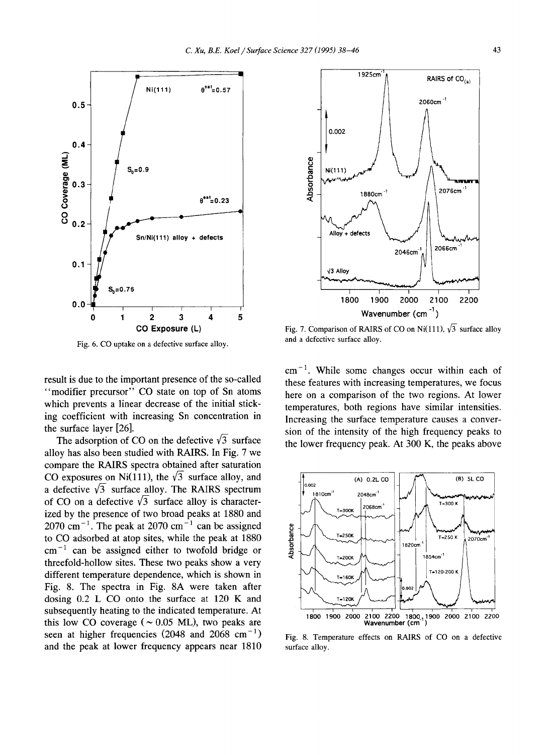

Fig. 6. CO uptake on a defective surface alloy.

result is due to the important presence of the so-called "modifier precursor" CO state on top of Sn atoms which prevents a linear decrease of the initial sticking coefficient with increasing Sn concentration in the surface layer [26].

The adsorption of CO on the defective  $\sqrt{3}$  surface alloy has also been studied with RAIRS. In Fig. 7 we compare the RAIRS spectra obtained after saturation CO exposures on Ni(111), the  $\sqrt{3}$  surface alloy, and a defective  $\sqrt{3}$  surface alloy. The RAIRS spectrum of CO on a defective  $\sqrt{3}$  surface alloy is characterized by the presence of two broad peaks at 1880 and  $2070 \text{ cm}^{-1}$ . The peak at 2070 cm<sup>-1</sup> can be assigned to CO adsorbed at atop sites, while the peak at 1880  $cm^{-1}$  can be assigned either to twofold bridge or threefold-hollow sites. These two peaks show a very different temperature dependence, which is shown in Fig. 8. The spectra in Fig. 8A were taken after dosing 0.2 L CO onto the surface at 120 K and subsequently heating to the indicated temperature. At this low CO coverage ( $\sim 0.05$  ML), two peaks are seen at higher frequencies (2048 and 2068 cm<sup>-1</sup>) and the peak at lower frequency appears near 1810



Fig. 7. Comparison of RAIRS of CO on Ni(111),  $\sqrt{3}$  surface alloy and a defective surface alloy.

 $cm<sup>-1</sup>$ . While some changes occur within each of these features with increasing temperatures, we focus here on a comparison of the two regions. At lower temperatures, both regions have similar intensities. Increasing the surface temperature causes a conversion of the intensity of the high frequency peaks to the lower frequency peak. At 300 K, the peaks above



Fig. 8. Temperature effects on RAIRS of CO on a defective surface alloy.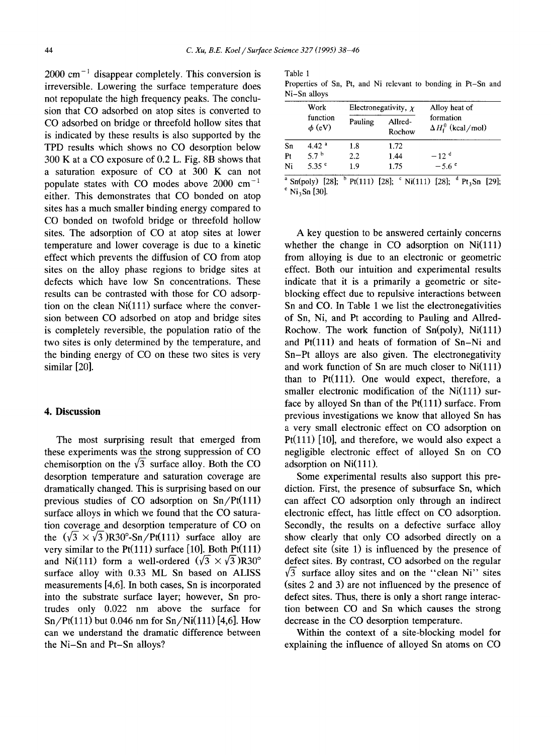$2000 \text{ cm}^{-1}$  disappear completely. This conversion is irreversible. Lowering the surface temperature does not repopulate the high frequency peaks. The conclusion that CO adsorbed on atop sites is converted to CO adsorbed on bridge or threefold hollow sites that is indicated by these results is also supported by the TPD results which shows no CO desorption below 300 K at a CO exposure of 0.2 L. Fig. 8B shows that a saturation exposure of CO at 300 K can not populate states with CO modes above  $2000 \text{ cm}^{-1}$ either. This demonstrates that CO bonded on atop sites has a much smaller binding energy compared to CO bonded on twofold bridge or threefold hollow sites. The adsorption of CO at atop sites at lower temperature and lower coverage is due to a kinetic effect which prevents the diffusion of CO from atop sites on the alloy phase regions to bridge sites at defects which have low Sn concentrations. These results can be contrasted with those for CO adsorption on the clean  $Ni(111)$  surface where the conversion between CO adsorbed on atop and bridge sites is completely reversible, the population ratio of the two sites is only determined by the temperature, and the binding energy of CO on these two sites is very similar [20].

## **4. Discussion**

The most surprising result that emerged from these experiments was the strong suppression of CO chemisorption on the  $\sqrt{3}$  surface alloy. Both the CO desorption temperature and saturation coverage are dramatically changed. This is surprising based on our previous studies of CO adsorption on  $Sn/Pt(111)$ surface alloys in which we found that the CO saturation coverage and desorption temperature of CO on the  $(\sqrt{3} \times \sqrt{3})R30^{\circ}$ -Sn/Pt(111) surface alloy are very similar to the  $Pt(111)$  surface [10]. Both  $Pt(111)$ and Ni(111) form a well-ordered  $(\sqrt{3} \times \sqrt{3})R30^{\circ}$ surface alloy with 0.33 ML Sn based on ALISS measurements [4,6]. In both cases, Sn is incorporated into the substrate surface layer; however, Sn protrndes only 0.022 nm above the surface for  $Sn/Pt(111)$  but 0.046 nm for  $Sn/Ni(111)$  [4,6]. How can we understand the dramatic difference between the Ni-Sn and Pt-Sn alloys?

Table 1 Properties of Sn, Pt, and Ni relevant to bonding in Pt-Sn and Ni-Sn alloys

|    | Work<br>function<br>$\phi$ (eV) | Electronegativity, $\chi$ |                   | Alloy heat of                                |
|----|---------------------------------|---------------------------|-------------------|----------------------------------------------|
|    |                                 | Pauling                   | Allred-<br>Rochow | formation<br>$\Delta H_{\rm f}^0$ (kcal/mol) |
| Sn | 4.42 <sup>a</sup>               | 1.8                       | 1.72              |                                              |
| Pt | 5.7 $b$                         | 2.2                       | 1.44              | $-12$ <sup>d</sup>                           |
| Ni | 5.35 <sup>c</sup>               | 1.9                       | 1.75              | $-5.6^{\circ}$                               |

<sup>a</sup> Sn(poly) [28]; <sup>b</sup> Pt(111) [28]; <sup>c</sup> Ni(111) [28]; <sup>d</sup> Pt<sub>3</sub>Sn [29];  $e$  Ni<sub>3</sub>Sn [30].

A key question to be answered certainly concerns whether the change in  $CO$  adsorption on  $Ni(111)$ from alloying is due to an electronic or geometric effect. Both our intuition and experimental results indicate that it is a primarily a geometric or siteblocking effect due to repulsive interactions between Sn and CO. In Table 1 we list the electronegativities of Sn, Ni, and Pt according to Pauling and Allred-Rochow. The work function of  $Sn(poly)$ ,  $Ni(111)$ and  $Pt(111)$  and heats of formation of  $Sn-Ni$  and Sn-Pt alloys are also given. The electronegativity and work function of Sn are much closer to  $Ni(111)$ than to  $Pt(111)$ . One would expect, therefore, a smaller electronic modification of the  $Ni(111)$  surface by alloyed Sn than of the  $Pt(111)$  surface. From previous investigations we know that alloyed Sn has a very small electronic effect on CO adsorption on Pt $(111)$  [10], and therefore, we would also expect a negligible electronic effect of alloyed Sn on CO adsorption on Ni(111).

Some experimental results also support this prediction. First, the presence of subsurface Sn, which can affect CO adsorption only through an indirect electronic effect, has little effect on CO adsorption. Secondly, the results on a defective surface alloy show clearly that only CO adsorbed directly on a defect site (site 1) is influenced by the presence of defect sites. By contrast, CO adsorbed on the regular  $\sqrt{3}$  surface alloy sites and on the "clean Ni" sites (sites 2 and 3) are not influenced by the presence of defect sites. Thus, there is only a short range interaction between CO and Sn which causes the strong decrease in the CO desorption temperature.

Within the context of a site-blocking model for explaining the influence of alloyed Sn atoms on CO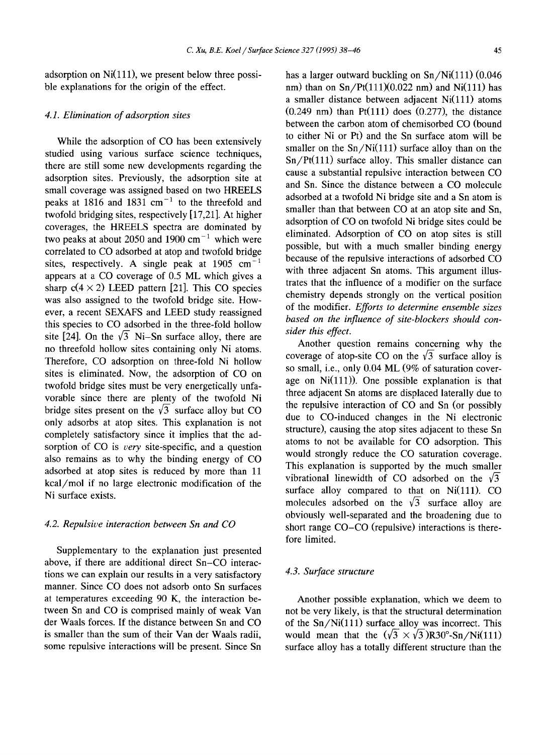adsorption on Ni(111), we present below three possible explanations for the origin of the effect.

# *4.1. Elimination of adsorption sites*

While the adsorption of CO has been extensively studied using various surface science techniques, there are still some new developments regarding the adsorption sites. Previously, the adsorption site at small coverage was assigned based on two HREELS peaks at 1816 and 1831 cm<sup>-1</sup> to the threefold and twofold bridging sites, respectively [17,21]. At higher coverages, the HREELS spectra are dominated by two peaks at about 2050 and 1900  $\text{cm}^{-1}$  which were correlated to CO adsorbed at atop and twofold bridge sites, respectively. A single peak at  $1905 \text{ cm}^{-1}$ appears at a CO coverage of 0.5 ML which gives a sharp  $c(4 \times 2)$  LEED pattern [21]. This CO species was also assigned to the twofold bridge site. However, a recent SEXAFS and LEED study reassigned this species to CO adsorbed in the three-fold hollow site [24]. On the  $\sqrt{3}$  Ni-Sn surface alloy, there are no threefold hollow sites containing only Ni atoms. Therefore, CO adsorption on three-fold Ni hollow sites is eliminated. Now, the adsorption of CO on twofold bridge sites must be very energetically unfavorable since there are plenty of the twofold Ni bridge sites present on the  $\sqrt{3}$  surface alloy but CO only adsorbs at atop sites. This explanation is not completely satisfactory since it implies that the adsorption of CO is *very* site-specific, and a question also remains as to why the binding energy of CO adsorbed at atop sites is reduced by more than 11 kcal/mol if no large electronic modification of the Ni surface exists.

#### *4.2. Repulsive interaction between Sn and CO*

Supplementary to the explanation just presented above, if there are additional direct Sn-CO interactions we can explain our results in a very satisfactory manner. Since CO does not adsorb onto Sn surfaces at temperatures exceeding 90 K, the interaction between Sn and CO is comprised mainly of weak Van der Waals forces. If the distance between Sn and CO is smaller than the sum of their Van der Waals radii, some repulsive interactions will be present. Since Sn

has a larger outward buckling on  $Sn/Ni(111)$  (0.046) nm) than on  $Sn/Pt(111)(0.022)$  nm) and Ni(111) has a smaller distance between adjacent  $Ni(111)$  atoms  $(0.249 \text{ nm})$  than Pt $(111)$  does  $(0.277)$ , the distance between the carbon atom of chemisorbed CO (bound to either Ni or Pt) and the Sn surface atom will be smaller on the  $Sn/Ni(111)$  surface alloy than on the  $Sn/Pt(111)$  surface alloy. This smaller distance can cause a substantial repulsive interaction between CO and Sn. Since the distance between a CO molecule adsorbed at a twofold Ni bridge site and a Sn atom is smaller than that between CO at an atop site and Sn, adsorption of CO on twofold Ni bridge sites could be eliminated. Adsorption of CO on atop sites is still possible, but with a much smaller binding energy because of the repulsive interactions of adsorbed CO with three adjacent Sn atoms. This argument illustrates that the influence of a modifier on the surface chemistry depends strongly on the vertical position of the modifier. *Efforts to determine ensemble sizes based on the influence of site-blockers should consider this effect.* 

Another question remains concerning why the coverage of atop-site CO on the  $\sqrt{3}$  surface alloy is so small, i.e., only 0.04 ML (9% of saturation coverage on  $Ni(111)$ ). One possible explanation is that three adjacent Sn atoms are displaced laterally due to the repulsive interaction of CO and Sn (or possibly due to CO-induced changes in the Ni electronic structure), causing the atop sites adjacent to these Sn atoms to not be available for CO adsorption. This would strongly reduce the CO saturation coverage. This explanation is supported by the much smaller vibrational linewidth of CO adsorbed on the  $\sqrt{3}$ surface alloy compared to that on  $Ni(111)$ . CO molecules adsorbed on the  $\sqrt{3}$  surface alloy are obviously well-separated and the broadening due to short range CO-CO (repulsive) interactions is therefore limited.

#### *4.3. Surface structure*

Another possible explanation, which we deem to not be very likely, is that the structural determination of the Sn/Ni(111) surface alloy was incorrect. This would mean that the  $(\sqrt{3} \times \sqrt{3})R30^{\circ}$ -Sn/Ni(111) surface alloy has a totally different structure than the